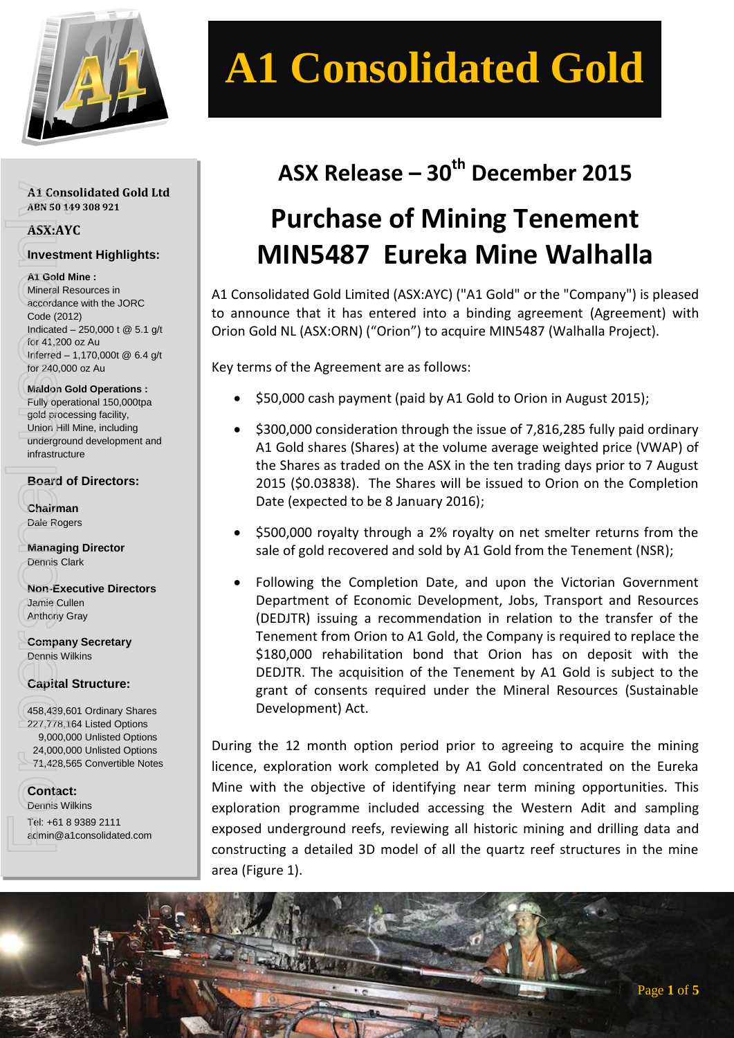

# **A1 Consolidated Gold**

#### **A1 Consolidated Gold Ltd ABN 50 149 308 921**

### **ASX:AYC**

### **Investment Highlights:**

#### **A1 Gold Mine :**

Mineral Resources in accordance with the JORC Code (2012) Indicated – 250,000 t @ 5.1 g/t for 41,200 oz Au Inferred – 1,170,000t @ 6.4 g/t for 240,000 oz Au A1 Consolidated Gold<br>
ABN 50 149 308 921<br>
ASX:AYC<br>
Investment Highlights<br>
accordance with the JORC<br>
Code (2012)<br>
Indicated – 250,000 t @ 5.1<br>
for 41,200 oz Au<br>
Infarred – 1,170,000t @ 6.4<br>
for 240,000 oz Au<br>
Maldon Gold Op

**Maldon Gold Operations :** Fully operational 150,000tpa gold processing facility, Union Hill Mine, including underground development and infrastructure

### **Board of Directors:**

**Chairman** Dale Rogers

**Managing Director** Dennis Clark

**Non-Executive Directors** Jamie Cullen Anthony Gray

**Company Secretary** Dennis Wilkins

### **Capital Structure:**

458,439,601 Ordinary Shares 227,778,164 Listed Options 9,000,000 Unlisted Options 24,000,000 Unlisted Options 71,428,565 Convertible Notes

**Contact:** Dennis Wilkins Tel: +61 8 9389 2111

# **ASX Release – 30 th December 2015**

# **Purchase of Mining Tenement MIN5487 Eureka Mine Walhalla**

A1 Consolidated Gold Limited (ASX:AYC) ("A1 Gold" or the "Company") is pleased to announce that it has entered into a binding agreement (Agreement) with Orion Gold NL (ASX:ORN) ("Orion") to acquire MIN5487 (Walhalla Project).

Key terms of the Agreement are as follows:

- \$50,000 cash payment (paid by A1 Gold to Orion in August 2015);
- \$300,000 consideration through the issue of 7,816,285 fully paid ordinary A1 Gold shares (Shares) at the volume average weighted price (VWAP) of the Shares as traded on the ASX in the ten trading days prior to 7 August 2015 (\$0.03838). The Shares will be issued to Orion on the Completion Date (expected to be 8 January 2016);
- \$500,000 royalty through a 2% royalty on net smelter returns from the sale of gold recovered and sold by A1 Gold from the Tenement (NSR);
- Following the Completion Date, and upon the Victorian Government Department of Economic Development, Jobs, Transport and Resources (DEDJTR) issuing a recommendation in relation to the transfer of the Tenement from Orion to A1 Gold, the Company is required to replace the \$180,000 rehabilitation bond that Orion has on deposit with the DEDJTR. The acquisition of the Tenement by A1 Gold is subject to the grant of consents required under the Mineral Resources (Sustainable Development) Act.

During the 12 month option period prior to agreeing to acquire the mining licence, exploration work completed by A1 Gold concentrated on the Eureka Mine with the objective of identifying near term mining opportunities. This exploration programme included accessing the Western Adit and sampling exposed underground reefs, reviewing all historic mining and drilling data and constructing a detailed 3D model of all the quartz reef structures in the mine area (Figure 1).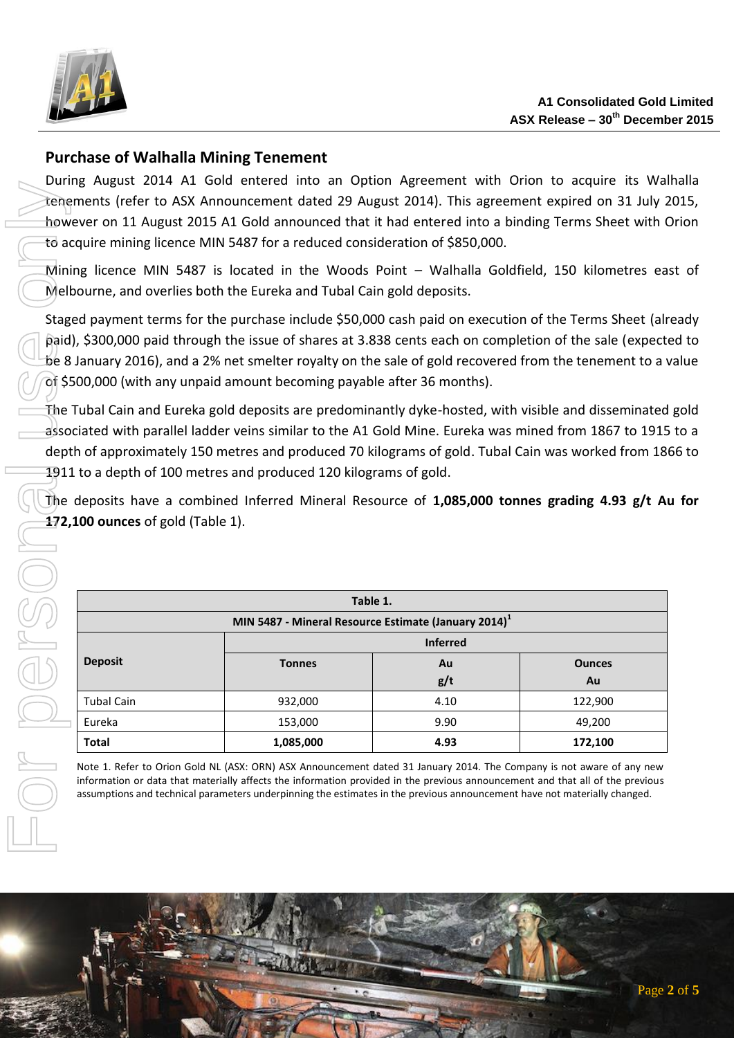

## **Purchase of Walhalla Mining Tenement**

During August 2014 A1 Gold entered into an Option Agreement with Orion to acquire its Walhalla tenements (refer to ASX Announcement dated 29 August 2014). This agreement expired on 31 July 2015, however on 11 August 2015 A1 Gold announced that it had entered into a binding Terms Sheet with Orion to acquire mining licence MIN 5487 for a reduced consideration of \$850,000.

Mining licence MIN 5487 is located in the Woods Point – Walhalla Goldfield, 150 kilometres east of Melbourne, and overlies both the Eureka and Tubal Cain gold deposits.

Staged payment terms for the purchase include \$50,000 cash paid on execution of the Terms Sheet (already paid), \$300,000 paid through the issue of shares at 3.838 cents each on completion of the sale (expected to be 8 January 2016), and a 2% net smelter royalty on the sale of gold recovered from the tenement to a value of \$500,000 (with any unpaid amount becoming payable after 36 months).

The Tubal Cain and Eureka gold deposits are predominantly dyke-hosted, with visible and disseminated gold associated with parallel ladder veins similar to the A1 Gold Mine. Eureka was mined from 1867 to 1915 to a depth of approximately 150 metres and produced 70 kilograms of gold. Tubal Cain was worked from 1866 to 1911 to a depth of 100 metres and produced 120 kilograms of gold. For personal use of the personal use of the association of the personal use of the same depth of the same depth of the same depth of the same depth of the same depth of the same depth of the same depth of the same depth of

The deposits have a combined Inferred Mineral Resource of **1,085,000 tonnes grading 4.93 g/t Au for 172,100 ounces** of gold (Table 1).

| Table 1.                                                         |                 |      |               |
|------------------------------------------------------------------|-----------------|------|---------------|
| MIN 5487 - Mineral Resource Estimate (January 2014) <sup>1</sup> |                 |      |               |
|                                                                  | <b>Inferred</b> |      |               |
| <b>Deposit</b>                                                   | <b>Tonnes</b>   | Au   | <b>Ounces</b> |
|                                                                  |                 | g/t  | Au            |
| <b>Tubal Cain</b>                                                | 932,000         | 4.10 | 122,900       |
| Eureka                                                           | 153,000         | 9.90 | 49,200        |
| <b>Total</b>                                                     | 1,085,000       | 4.93 | 172,100       |

Note 1. Refer to Orion Gold NL (ASX: ORN) ASX Announcement dated 31 January 2014. The Company is not aware of any new information or data that materially affects the information provided in the previous announcement and that all of the previous assumptions and technical parameters underpinning the estimates in the previous announcement have not materially changed.

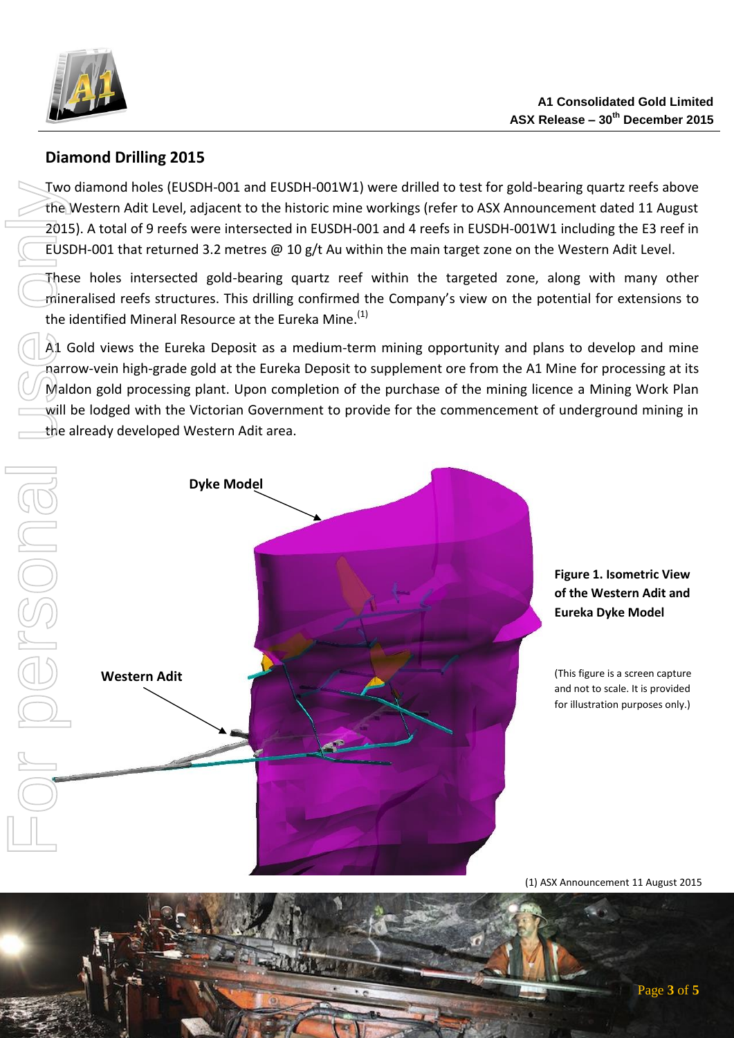

# **Diamond Drilling 2015**

Two diamond holes (EUSDH-001 and EUSDH-001W1) were drilled to test for gold-bearing quartz reefs above the Western Adit Level, adjacent to the historic mine workings (refer to ASX Announcement dated 11 August 2015). A total of 9 reefs were intersected in EUSDH-001 and 4 reefs in EUSDH-001W1 including the E3 reef in EUSDH-001 that returned 3.2 metres  $\omega$  10 g/t Au within the main target zone on the Western Adit Level.

These holes intersected gold-bearing quartz reef within the targeted zone, along with many other mineralised reefs structures. This drilling confirmed the Company's view on the potential for extensions to the identified Mineral Resource at the Eureka Mine.<sup>(1)</sup>

A1 Gold views the Eureka Deposit as a medium-term mining opportunity and plans to develop and mine narrow-vein high-grade gold at the Eureka Deposit to supplement ore from the A1 Mine for processing at its Maldon gold processing plant. Upon completion of the purchase of the mining licence a Mining Work Plan will be lodged with the Victorian Government to provide for the commencement of underground mining in the already developed Western Adit area.



### **Figure 1. Isometric View of the Western Adit and Eureka Dyke Model**

(This figure is a screen capture and not to scale. It is provided for illustration purposes only.)

<sup>(1)</sup> ASX Announcement 11 August 2015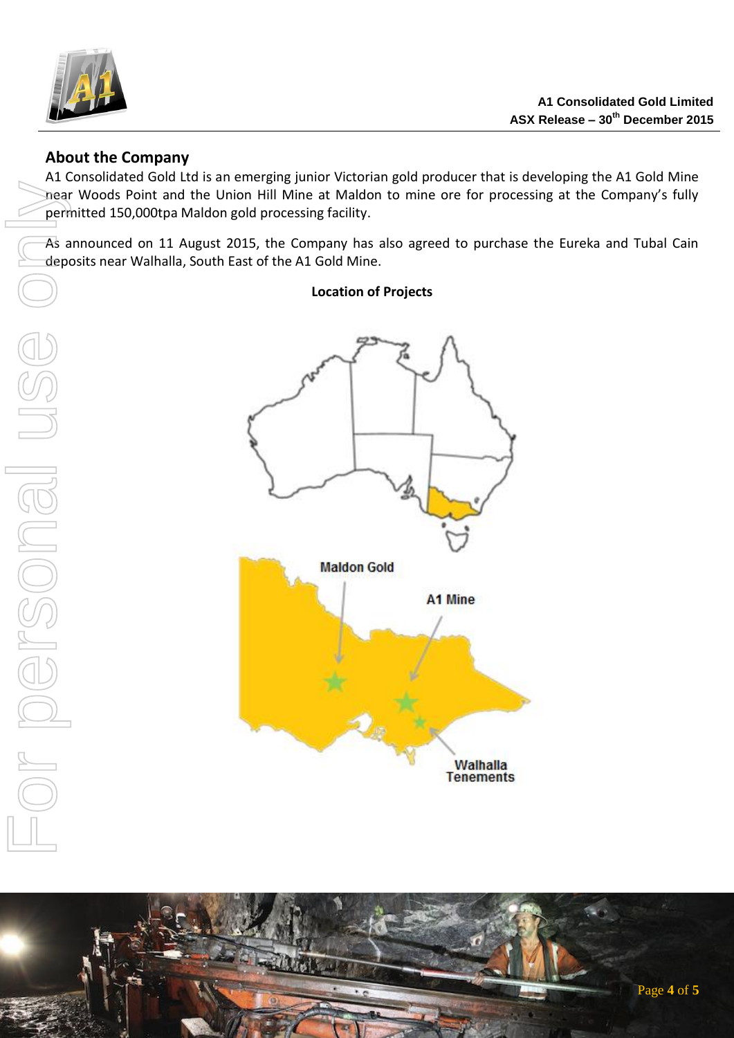

### **About the Company**

A1 Consolidated Gold Ltd is an emerging junior Victorian gold producer that is developing the A1 Gold Mine near Woods Point and the Union Hill Mine at Maldon to mine ore for processing at the Company's fully permitted 150,000tpa Maldon gold processing facility.

As announced on 11 August 2015, the Company has also agreed to purchase the Eureka and Tubal Cain deposits near Walhalla, South East of the A1 Gold Mine.

**Location of Projects**